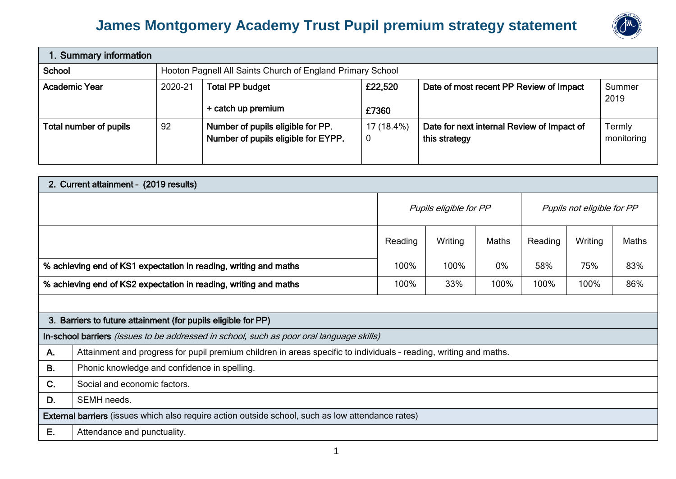## **James Montgomery Academy Trust Pupil premium strategy statement**



| 1. Summary information                                                          |  |                                                                          |            |                                                             |                      |  |
|---------------------------------------------------------------------------------|--|--------------------------------------------------------------------------|------------|-------------------------------------------------------------|----------------------|--|
| School                                                                          |  | Hooton Pagnell All Saints Church of England Primary School               |            |                                                             |                      |  |
| 2020-21<br><b>Academic Year</b><br><b>Total PP budget</b><br>+ catch up premium |  | Date of most recent PP Review of Impact<br>£22,520<br>£7360              |            | Summer<br>2019                                              |                      |  |
| 92<br>Total number of pupils                                                    |  | Number of pupils eligible for PP.<br>Number of pupils eligible for EYPP. | 17 (18.4%) | Date for next internal Review of Impact of<br>this strategy | Termly<br>monitoring |  |

|                                                                  | 2. Current attainment - (2019 results)                                                                            |                        |         |                            |         |         |       |  |
|------------------------------------------------------------------|-------------------------------------------------------------------------------------------------------------------|------------------------|---------|----------------------------|---------|---------|-------|--|
|                                                                  |                                                                                                                   | Pupils eligible for PP |         | Pupils not eligible for PP |         |         |       |  |
|                                                                  |                                                                                                                   | Reading                | Writing | Maths                      | Reading | Writing | Maths |  |
| % achieving end of KS1 expectation in reading, writing and maths |                                                                                                                   |                        | 100%    | $0\%$                      | 58%     | 75%     | 83%   |  |
| % achieving end of KS2 expectation in reading, writing and maths |                                                                                                                   |                        | 33%     | 100%                       | 100%    | 100%    | 86%   |  |
|                                                                  |                                                                                                                   |                        |         |                            |         |         |       |  |
|                                                                  | 3. Barriers to future attainment (for pupils eligible for PP)                                                     |                        |         |                            |         |         |       |  |
|                                                                  | In-school barriers (issues to be addressed in school, such as poor oral language skills)                          |                        |         |                            |         |         |       |  |
| A.                                                               | Attainment and progress for pupil premium children in areas specific to individuals - reading, writing and maths. |                        |         |                            |         |         |       |  |
| <b>B.</b>                                                        | Phonic knowledge and confidence in spelling.                                                                      |                        |         |                            |         |         |       |  |
| C.                                                               | Social and economic factors.                                                                                      |                        |         |                            |         |         |       |  |
| D.                                                               | SEMH needs.                                                                                                       |                        |         |                            |         |         |       |  |
|                                                                  | <b>External barriers</b> (issues which also require action outside school, such as low attendance rates)          |                        |         |                            |         |         |       |  |
| Е.                                                               | Attendance and punctuality.                                                                                       |                        |         |                            |         |         |       |  |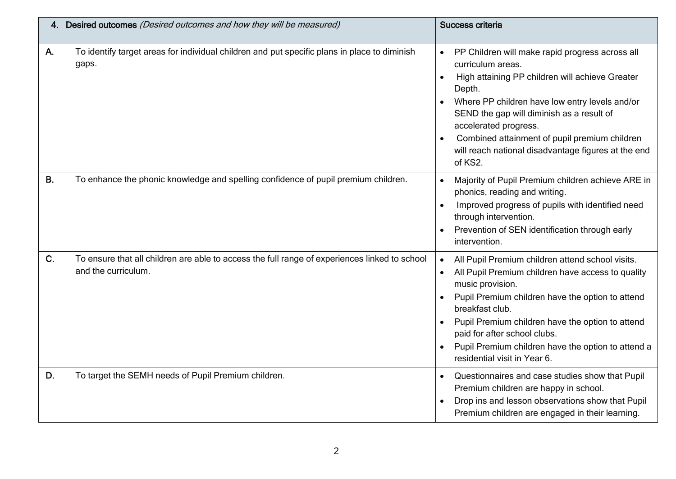|           | 4. Desired outcomes (Desired outcomes and how they will be measured)                                                 | Success criteria                                                                                                                                                                                                                                                                                                                                                                                                    |
|-----------|----------------------------------------------------------------------------------------------------------------------|---------------------------------------------------------------------------------------------------------------------------------------------------------------------------------------------------------------------------------------------------------------------------------------------------------------------------------------------------------------------------------------------------------------------|
| Α.        | To identify target areas for individual children and put specific plans in place to diminish<br>gaps.                | PP Children will make rapid progress across all<br>$\bullet$<br>curriculum areas.<br>High attaining PP children will achieve Greater<br>$\bullet$<br>Depth.<br>Where PP children have low entry levels and/or<br>SEND the gap will diminish as a result of<br>accelerated progress.<br>Combined attainment of pupil premium children<br>$\bullet$<br>will reach national disadvantage figures at the end<br>of KS2. |
| <b>B.</b> | To enhance the phonic knowledge and spelling confidence of pupil premium children.                                   | Majority of Pupil Premium children achieve ARE in<br>$\bullet$<br>phonics, reading and writing.<br>Improved progress of pupils with identified need<br>$\bullet$<br>through intervention.<br>Prevention of SEN identification through early<br>$\bullet$<br>intervention.                                                                                                                                           |
| C.        | To ensure that all children are able to access the full range of experiences linked to school<br>and the curriculum. | All Pupil Premium children attend school visits.<br>$\bullet$<br>All Pupil Premium children have access to quality<br>music provision.<br>Pupil Premium children have the option to attend<br>$\bullet$<br>breakfast club.<br>Pupil Premium children have the option to attend<br>$\bullet$<br>paid for after school clubs.<br>Pupil Premium children have the option to attend a<br>residential visit in Year 6.   |
| D.        | To target the SEMH needs of Pupil Premium children.                                                                  | Questionnaires and case studies show that Pupil<br>$\bullet$<br>Premium children are happy in school.<br>Drop ins and lesson observations show that Pupil<br>Premium children are engaged in their learning.                                                                                                                                                                                                        |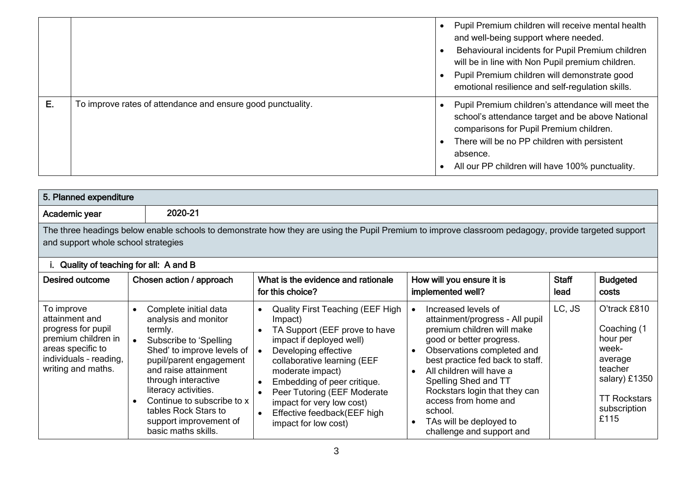|    |                                                             | Pupil Premium children will receive mental health<br>and well-being support where needed.<br>Behavioural incidents for Pupil Premium children<br>will be in line with Non Pupil premium children.<br>Pupil Premium children will demonstrate good<br>emotional resilience and self-regulation skills. |
|----|-------------------------------------------------------------|-------------------------------------------------------------------------------------------------------------------------------------------------------------------------------------------------------------------------------------------------------------------------------------------------------|
| Е. | To improve rates of attendance and ensure good punctuality. | Pupil Premium children's attendance will meet the<br>school's attendance target and be above National<br>comparisons for Pupil Premium children.<br>There will be no PP children with persistent<br>absence.<br>All our PP children will have 100% punctuality.                                       |

|                                                                                                                                                | 5. Planned expenditure                                                                                                                                                                                                                                                                                                                                           |                                                                                                                                                                                                                                                                                                                                                                                                  |                                                                                                                                                                                                                                                                                                                                                                                                           |                      |                                                                                                                                        |  |  |
|------------------------------------------------------------------------------------------------------------------------------------------------|------------------------------------------------------------------------------------------------------------------------------------------------------------------------------------------------------------------------------------------------------------------------------------------------------------------------------------------------------------------|--------------------------------------------------------------------------------------------------------------------------------------------------------------------------------------------------------------------------------------------------------------------------------------------------------------------------------------------------------------------------------------------------|-----------------------------------------------------------------------------------------------------------------------------------------------------------------------------------------------------------------------------------------------------------------------------------------------------------------------------------------------------------------------------------------------------------|----------------------|----------------------------------------------------------------------------------------------------------------------------------------|--|--|
| Academic year                                                                                                                                  | 2020-21                                                                                                                                                                                                                                                                                                                                                          |                                                                                                                                                                                                                                                                                                                                                                                                  |                                                                                                                                                                                                                                                                                                                                                                                                           |                      |                                                                                                                                        |  |  |
| and support whole school strategies                                                                                                            |                                                                                                                                                                                                                                                                                                                                                                  | The three headings below enable schools to demonstrate how they are using the Pupil Premium to improve classroom pedagogy, provide targeted support                                                                                                                                                                                                                                              |                                                                                                                                                                                                                                                                                                                                                                                                           |                      |                                                                                                                                        |  |  |
| Quality of teaching for all: A and B                                                                                                           |                                                                                                                                                                                                                                                                                                                                                                  |                                                                                                                                                                                                                                                                                                                                                                                                  |                                                                                                                                                                                                                                                                                                                                                                                                           |                      |                                                                                                                                        |  |  |
| <b>Desired outcome</b>                                                                                                                         | Chosen action / approach                                                                                                                                                                                                                                                                                                                                         | What is the evidence and rationale<br>for this choice?                                                                                                                                                                                                                                                                                                                                           | How will you ensure it is<br>implemented well?                                                                                                                                                                                                                                                                                                                                                            | <b>Staff</b><br>lead | <b>Budgeted</b><br>costs                                                                                                               |  |  |
| To improve<br>attainment and<br>progress for pupil<br>premium children in<br>areas specific to<br>individuals - reading,<br>writing and maths. | Complete initial data<br>$\bullet$<br>analysis and monitor<br>termly.<br>Subscribe to 'Spelling<br>$\bullet$<br>Shed' to improve levels of<br>pupil/parent engagement<br>and raise attainment<br>through interactive<br>literacy activities.<br>Continue to subscribe to x<br>$\bullet$<br>tables Rock Stars to<br>support improvement of<br>basic maths skills. | <b>Quality First Teaching (EEF High</b><br>$\bullet$<br>Impact)<br>TA Support (EEF prove to have<br>impact if deployed well)<br>Developing effective<br>collaborative learning (EEF<br>moderate impact)<br>Embedding of peer critique.<br>$\bullet$<br>Peer Tutoring (EEF Moderate<br>$\bullet$<br>impact for very low cost)<br>Effective feedback(EEF high<br>$\bullet$<br>impact for low cost) | Increased levels of<br>attainment/progress - All pupil<br>premium children will make<br>good or better progress.<br>Observations completed and<br>$\bullet$<br>best practice fed back to staff.<br>All children will have a<br>$\bullet$<br>Spelling Shed and TT<br>Rockstars login that they can<br>access from home and<br>school.<br>TAs will be deployed to<br>$\bullet$<br>challenge and support and | LC, JS               | O'track £810<br>Coaching (1<br>hour per<br>week-<br>average<br>teacher<br>salary) £1350<br><b>TT Rockstars</b><br>subscription<br>£115 |  |  |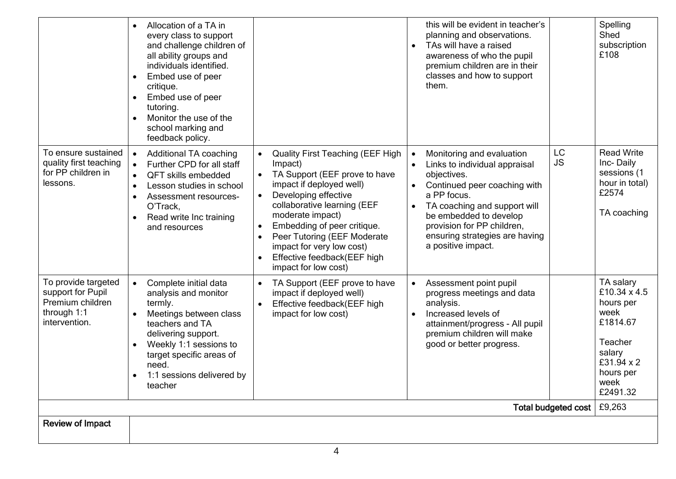| <b>Review of Impact</b>                                                                      |                                                                                                                                                                                                                                                                                                     |                                                                                                                                                                                                                                                                                                                                                                        |                                                                                                                                                                                                                                                                                                    |                 |                                                                                                                                |
|----------------------------------------------------------------------------------------------|-----------------------------------------------------------------------------------------------------------------------------------------------------------------------------------------------------------------------------------------------------------------------------------------------------|------------------------------------------------------------------------------------------------------------------------------------------------------------------------------------------------------------------------------------------------------------------------------------------------------------------------------------------------------------------------|----------------------------------------------------------------------------------------------------------------------------------------------------------------------------------------------------------------------------------------------------------------------------------------------------|-----------------|--------------------------------------------------------------------------------------------------------------------------------|
| Total budgeted cost<br>£9,263                                                                |                                                                                                                                                                                                                                                                                                     |                                                                                                                                                                                                                                                                                                                                                                        |                                                                                                                                                                                                                                                                                                    |                 |                                                                                                                                |
| To provide targeted<br>support for Pupil<br>Premium children<br>through 1:1<br>intervention. | Complete initial data<br>analysis and monitor<br>termly.<br>Meetings between class<br>teachers and TA<br>delivering support.<br>Weekly 1:1 sessions to<br>$\bullet$<br>target specific areas of<br>need.<br>1:1 sessions delivered by<br>$\bullet$<br>teacher                                       | TA Support (EEF prove to have<br>impact if deployed well)<br>Effective feedback(EEF high<br>$\bullet$<br>impact for low cost)                                                                                                                                                                                                                                          | Assessment point pupil<br>progress meetings and data<br>analysis.<br>Increased levels of<br>attainment/progress - All pupil<br>premium children will make<br>good or better progress.                                                                                                              |                 | TA salary<br>£10.34 x 4.5<br>hours per<br>week<br>£1814.67<br>Teacher<br>salary<br>£31.94 x 2<br>hours per<br>week<br>£2491.32 |
| To ensure sustained<br>quality first teaching<br>for PP children in<br>lessons.              | <b>Additional TA coaching</b><br>Further CPD for all staff<br><b>QFT skills embedded</b><br>$\bullet$<br>Lesson studies in school<br>$\bullet$<br>Assessment resources-<br>$\bullet$<br>O'Track.<br>Read write Inc training<br>$\bullet$<br>and resources                                           | <b>Quality First Teaching (EEF High</b><br>Impact)<br>TA Support (EEF prove to have<br>impact if deployed well)<br>Developing effective<br>collaborative learning (EEF<br>moderate impact)<br>Embedding of peer critique.<br>$\bullet$<br>Peer Tutoring (EEF Moderate<br>$\bullet$<br>impact for very low cost)<br>Effective feedback(EEF high<br>impact for low cost) | Monitoring and evaluation<br>$\bullet$<br>Links to individual appraisal<br>objectives.<br>Continued peer coaching with<br>a PP focus.<br>TA coaching and support will<br>$\bullet$<br>be embedded to develop<br>provision for PP children,<br>ensuring strategies are having<br>a positive impact. | LC<br><b>JS</b> | <b>Read Write</b><br>Inc-Daily<br>sessions (1<br>hour in total)<br>£2574<br>TA coaching                                        |
|                                                                                              | Allocation of a TA in<br>every class to support<br>and challenge children of<br>all ability groups and<br>individuals identified.<br>Embed use of peer<br>$\bullet$<br>critique.<br>Embed use of peer<br>$\bullet$<br>tutoring.<br>Monitor the use of the<br>school marking and<br>feedback policy. |                                                                                                                                                                                                                                                                                                                                                                        | this will be evident in teacher's<br>planning and observations.<br>TAs will have a raised<br>awareness of who the pupil<br>premium children are in their<br>classes and how to support<br>them.                                                                                                    |                 | Spelling<br>Shed<br>subscription<br>£108                                                                                       |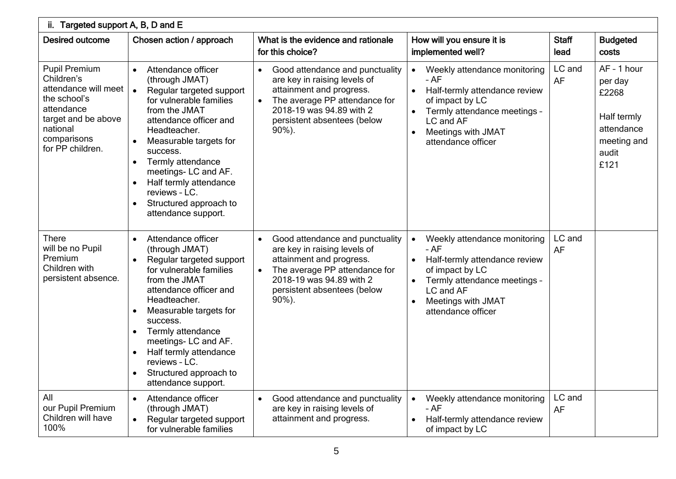| ii. Targeted support A, B, D and E                                                                                                                             |                                                                                                                                                                                                                                                                                                                                                                                                       |                                                                                                                                                                                                                                |                                                                                                                                                                                                             |                      |                                                                                              |  |  |
|----------------------------------------------------------------------------------------------------------------------------------------------------------------|-------------------------------------------------------------------------------------------------------------------------------------------------------------------------------------------------------------------------------------------------------------------------------------------------------------------------------------------------------------------------------------------------------|--------------------------------------------------------------------------------------------------------------------------------------------------------------------------------------------------------------------------------|-------------------------------------------------------------------------------------------------------------------------------------------------------------------------------------------------------------|----------------------|----------------------------------------------------------------------------------------------|--|--|
| <b>Desired outcome</b>                                                                                                                                         | Chosen action / approach                                                                                                                                                                                                                                                                                                                                                                              | What is the evidence and rationale<br>for this choice?                                                                                                                                                                         | How will you ensure it is<br>implemented well?                                                                                                                                                              | <b>Staff</b><br>lead | <b>Budgeted</b><br>costs                                                                     |  |  |
| <b>Pupil Premium</b><br>Children's<br>attendance will meet<br>the school's<br>attendance<br>target and be above<br>national<br>comparisons<br>for PP children. | Attendance officer<br>$\bullet$<br>(through JMAT)<br>$\bullet$<br>Regular targeted support<br>for vulnerable families<br>from the JMAT<br>attendance officer and<br>Headteacher.<br>Measurable targets for<br>success.<br>Termly attendance<br>$\bullet$<br>meetings-LC and AF.<br>Half termly attendance<br>$\bullet$<br>reviews - LC.<br>Structured approach to<br>$\bullet$<br>attendance support. | Good attendance and punctuality<br>$\bullet$<br>are key in raising levels of<br>attainment and progress.<br>The average PP attendance for<br>$\bullet$<br>2018-19 was 94.89 with 2<br>persistent absentees (below<br>$90\%$ ). | Weekly attendance monitoring<br>$\bullet$<br>$-AF$<br>Half-termly attendance review<br>of impact by LC<br>Termly attendance meetings -<br>LC and AF<br>Meetings with JMAT<br>attendance officer             | LC and<br>AF         | AF - 1 hour<br>per day<br>£2268<br>Half termly<br>attendance<br>meeting and<br>audit<br>£121 |  |  |
| <b>There</b><br>will be no Pupil<br>Premium<br>Children with<br>persistent absence.                                                                            | Attendance officer<br>$\bullet$<br>(through JMAT)<br>Regular targeted support<br>for vulnerable families<br>from the JMAT<br>attendance officer and<br>Headteacher.<br>Measurable targets for<br>$\bullet$<br>success.<br>Termly attendance<br>meetings-LC and AF.<br>Half termly attendance<br>$\bullet$<br>reviews - LC.<br>Structured approach to<br>$\bullet$<br>attendance support.              | Good attendance and punctuality<br>$\bullet$<br>are key in raising levels of<br>attainment and progress.<br>The average PP attendance for<br>2018-19 was 94.89 with 2<br>persistent absentees (below<br>$90\%$ ).              | Weekly attendance monitoring<br>$\bullet$<br>- AF<br>Half-termly attendance review<br>$\bullet$<br>of impact by LC<br>Termly attendance meetings -<br>LC and AF<br>Meetings with JMAT<br>attendance officer | LC and<br><b>AF</b>  |                                                                                              |  |  |
| All<br>our Pupil Premium<br>Children will have<br>100%                                                                                                         | Attendance officer<br>$\bullet$<br>(through JMAT)<br>Regular targeted support<br>for vulnerable families                                                                                                                                                                                                                                                                                              | Good attendance and punctuality<br>$\bullet$<br>are key in raising levels of<br>attainment and progress.                                                                                                                       | Weekly attendance monitoring<br>$-AF$<br>Half-termly attendance review<br>of impact by LC                                                                                                                   | LC and<br>AF         |                                                                                              |  |  |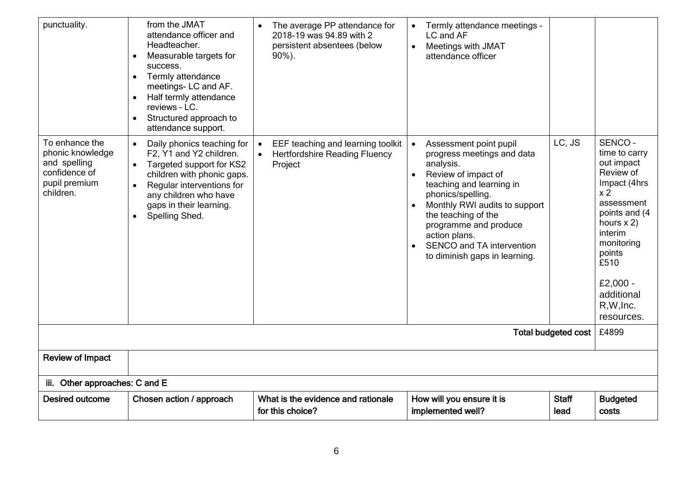| punctuality.                                                                                      | from the JMAT<br>attendance officer and<br>Headteacher.<br>Measurable targets for<br>$\bullet$<br>success.<br>Termly attendance<br>$\bullet$<br>meetings-LC and AF.<br>Half termly attendance<br>reviews - LC.<br>Structured approach to<br>$\bullet$<br>attendance support. | The average PP attendance for<br>2018-19 was 94.89 with 2<br>persistent absentees (below<br>$90\%$ ). | Termly attendance meetings -<br>LC and AF<br>Meetings with JMAT<br>$\bullet$<br>attendance officer                                                                                                                                                                                                                                         |                      |                                                                                                                                                                                                                                      |
|---------------------------------------------------------------------------------------------------|------------------------------------------------------------------------------------------------------------------------------------------------------------------------------------------------------------------------------------------------------------------------------|-------------------------------------------------------------------------------------------------------|--------------------------------------------------------------------------------------------------------------------------------------------------------------------------------------------------------------------------------------------------------------------------------------------------------------------------------------------|----------------------|--------------------------------------------------------------------------------------------------------------------------------------------------------------------------------------------------------------------------------------|
| To enhance the<br>phonic knowledge<br>and spelling<br>confidence of<br>pupil premium<br>children. | Daily phonics teaching for<br>$\bullet$<br>F2, Y1 and Y2 children.<br>Targeted support for KS2<br>$\bullet$<br>children with phonic gaps.<br>Regular interventions for<br>$\bullet$<br>any children who have<br>gaps in their learning.<br>Spelling Shed.<br>$\bullet$       | EEF teaching and learning toolkit<br>$\bullet$<br><b>Hertfordshire Reading Fluency</b><br>Project     | Assessment point pupil<br>$\bullet$<br>progress meetings and data<br>analysis.<br>Review of impact of<br>$\bullet$<br>teaching and learning in<br>phonics/spelling.<br>Monthly RWI audits to support<br>the teaching of the<br>programme and produce<br>action plans.<br><b>SENCO and TA intervention</b><br>to diminish gaps in learning. | LC, JS               | SENCO-<br>time to carry<br>out impact<br>Review of<br>Impact (4hrs<br>x <sub>2</sub><br>assessment<br>points and (4<br>hours $x$ 2)<br>interim<br>monitoring<br>points<br>£510<br>£2,000 -<br>additional<br>R, W, Inc.<br>resources. |
| <b>Total budgeted cost</b>                                                                        |                                                                                                                                                                                                                                                                              |                                                                                                       |                                                                                                                                                                                                                                                                                                                                            |                      |                                                                                                                                                                                                                                      |
| <b>Review of Impact</b>                                                                           |                                                                                                                                                                                                                                                                              |                                                                                                       |                                                                                                                                                                                                                                                                                                                                            |                      |                                                                                                                                                                                                                                      |
| iii. Other approaches: C and E                                                                    |                                                                                                                                                                                                                                                                              |                                                                                                       |                                                                                                                                                                                                                                                                                                                                            |                      |                                                                                                                                                                                                                                      |
| <b>Desired outcome</b>                                                                            | Chosen action / approach                                                                                                                                                                                                                                                     | What is the evidence and rationale<br>for this choice?                                                | How will you ensure it is<br>implemented well?                                                                                                                                                                                                                                                                                             | <b>Staff</b><br>lead | <b>Budgeted</b><br>costs                                                                                                                                                                                                             |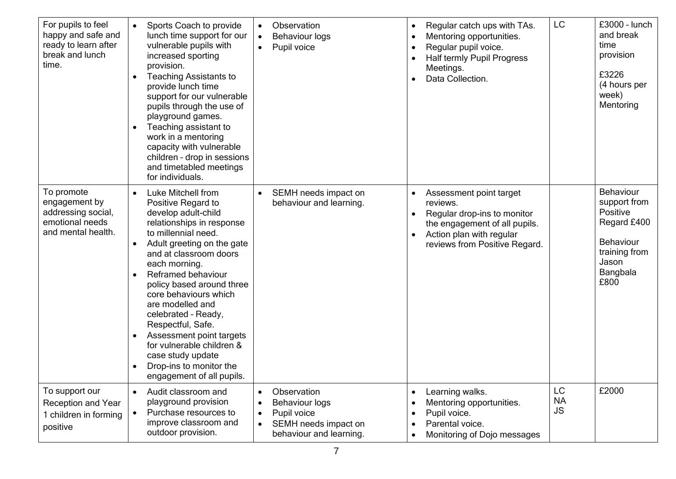| For pupils to feel<br>happy and safe and<br>ready to learn after<br>break and lunch<br>time. | Sports Coach to provide<br>$\bullet$<br>lunch time support for our<br>vulnerable pupils with<br>increased sporting<br>provision.<br><b>Teaching Assistants to</b><br>$\bullet$<br>provide lunch time<br>support for our vulnerable<br>pupils through the use of<br>playground games.<br>Teaching assistant to<br>work in a mentoring<br>capacity with vulnerable<br>children - drop in sessions<br>and timetabled meetings<br>for individuals.                                                                        | Observation<br>$\bullet$<br><b>Behaviour logs</b><br>$\bullet$<br>Pupil voice<br>$\bullet$                                                                 | Regular catch ups with TAs.<br>Mentoring opportunities.<br>Regular pupil voice.<br>Half termly Pupil Progress<br>Meetings.<br>Data Collection.                   | LC                           | £3000 - lunch<br>and break<br>time<br>provision<br>£3226<br>(4 hours per<br>week)<br>Mentoring                  |
|----------------------------------------------------------------------------------------------|-----------------------------------------------------------------------------------------------------------------------------------------------------------------------------------------------------------------------------------------------------------------------------------------------------------------------------------------------------------------------------------------------------------------------------------------------------------------------------------------------------------------------|------------------------------------------------------------------------------------------------------------------------------------------------------------|------------------------------------------------------------------------------------------------------------------------------------------------------------------|------------------------------|-----------------------------------------------------------------------------------------------------------------|
| To promote<br>engagement by<br>addressing social,<br>emotional needs<br>and mental health.   | Luke Mitchell from<br>$\bullet$<br>Positive Regard to<br>develop adult-child<br>relationships in response<br>to millennial need.<br>Adult greeting on the gate<br>and at classroom doors<br>each morning.<br>Reframed behaviour<br>$\bullet$<br>policy based around three<br>core behaviours which<br>are modelled and<br>celebrated - Ready,<br>Respectful, Safe.<br>Assessment point targets<br>$\bullet$<br>for vulnerable children &<br>case study update<br>Drop-ins to monitor the<br>engagement of all pupils. | SEMH needs impact on<br>$\bullet$<br>behaviour and learning.                                                                                               | Assessment point target<br>reviews.<br>Regular drop-ins to monitor<br>the engagement of all pupils.<br>Action plan with regular<br>reviews from Positive Regard. |                              | Behaviour<br>support from<br>Positive<br>Regard £400<br>Behaviour<br>training from<br>Jason<br>Bangbala<br>£800 |
| To support our<br><b>Reception and Year</b><br>1 children in forming<br>positive             | Audit classroom and<br>$\bullet$<br>playground provision<br>Purchase resources to<br>improve classroom and<br>outdoor provision.                                                                                                                                                                                                                                                                                                                                                                                      | Observation<br>$\bullet$<br><b>Behaviour logs</b><br>$\bullet$<br>Pupil voice<br>$\bullet$<br>SEMH needs impact on<br>$\bullet$<br>behaviour and learning. | Learning walks.<br>$\bullet$<br>Mentoring opportunities.<br>Pupil voice.<br>Parental voice.<br>Monitoring of Dojo messages                                       | LC<br><b>NA</b><br><b>JS</b> | £2000                                                                                                           |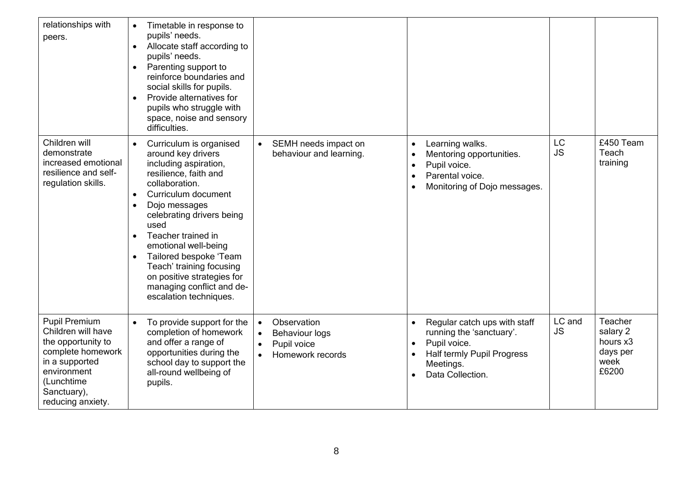| relationships with<br>peers.                                                                                                                                             | Timetable in response to<br>$\bullet$<br>pupils' needs.<br>Allocate staff according to<br>$\bullet$<br>pupils' needs.<br>Parenting support to<br>$\bullet$<br>reinforce boundaries and<br>social skills for pupils.<br>Provide alternatives for<br>$\bullet$<br>pupils who struggle with<br>space, noise and sensory<br>difficulties.                                                                                                       |                                                                                                                             |                                                                                                                                                |                        |                                                              |
|--------------------------------------------------------------------------------------------------------------------------------------------------------------------------|---------------------------------------------------------------------------------------------------------------------------------------------------------------------------------------------------------------------------------------------------------------------------------------------------------------------------------------------------------------------------------------------------------------------------------------------|-----------------------------------------------------------------------------------------------------------------------------|------------------------------------------------------------------------------------------------------------------------------------------------|------------------------|--------------------------------------------------------------|
| Children will<br>demonstrate<br>increased emotional<br>resilience and self-<br>regulation skills.                                                                        | Curriculum is organised<br>around key drivers<br>including aspiration,<br>resilience, faith and<br>collaboration.<br>Curriculum document<br>$\bullet$<br>Dojo messages<br>$\bullet$<br>celebrating drivers being<br>used<br>Teacher trained in<br>$\bullet$<br>emotional well-being<br>Tailored bespoke 'Team<br>$\bullet$<br>Teach' training focusing<br>on positive strategies for<br>managing conflict and de-<br>escalation techniques. | SEMH needs impact on<br>$\bullet$<br>behaviour and learning.                                                                | Learning walks.<br>Mentoring opportunities.<br>Pupil voice.<br>Parental voice.<br>Monitoring of Dojo messages.                                 | <b>LC</b><br><b>JS</b> | £450 Team<br>Teach<br>training                               |
| <b>Pupil Premium</b><br>Children will have<br>the opportunity to<br>complete homework<br>in a supported<br>environment<br>(Lunchtime<br>Sanctuary),<br>reducing anxiety. | To provide support for the<br>completion of homework<br>and offer a range of<br>opportunities during the<br>school day to support the<br>all-round wellbeing of<br>pupils.                                                                                                                                                                                                                                                                  | Observation<br>$\bullet$<br><b>Behaviour logs</b><br>$\bullet$<br>Pupil voice<br>$\bullet$<br>Homework records<br>$\bullet$ | Regular catch ups with staff<br>running the 'sanctuary'.<br>Pupil voice.<br><b>Half termly Pupil Progress</b><br>Meetings.<br>Data Collection. | LC and<br><b>JS</b>    | Teacher<br>salary 2<br>hours x3<br>days per<br>week<br>£6200 |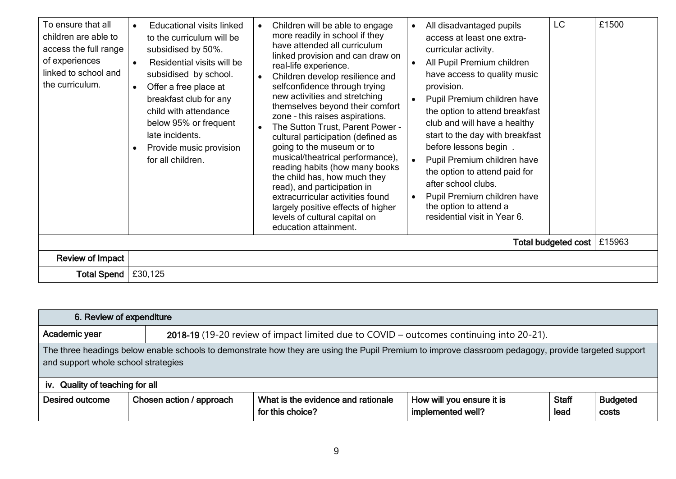| To ensure that all<br>children are able to<br>access the full range<br>of experiences<br>linked to school and<br>the curriculum. | <b>Educational visits linked</b><br>to the curriculum will be<br>subsidised by 50%.<br>Residential visits will be<br>subsidised by school.<br>Offer a free place at<br>$\bullet$<br>breakfast club for any<br>child with attendance<br>below 95% or frequent<br>late incidents.<br>Provide music provision<br>for all children. | Children will be able to engage<br>more readily in school if they<br>have attended all curriculum<br>linked provision and can draw on<br>real-life experience.<br>Children develop resilience and<br>selfconfidence through trying<br>new activities and stretching<br>themselves beyond their comfort<br>zone - this raises aspirations.<br>The Sutton Trust, Parent Power -<br>cultural participation (defined as<br>going to the museum or to<br>musical/theatrical performance),<br>reading habits (how many books<br>the child has, how much they<br>read), and participation in<br>extracurricular activities found<br>largely positive effects of higher<br>levels of cultural capital on<br>education attainment. | All disadvantaged pupils<br>$\bullet$<br>access at least one extra-<br>curricular activity.<br>All Pupil Premium children<br>have access to quality music<br>provision.<br>Pupil Premium children have<br>the option to attend breakfast<br>club and will have a healthy<br>start to the day with breakfast<br>before lessons begin.<br>Pupil Premium children have<br>the option to attend paid for<br>after school clubs.<br>Pupil Premium children have<br>the option to attend a<br>residential visit in Year 6. | LC.                        | £1500  |
|----------------------------------------------------------------------------------------------------------------------------------|---------------------------------------------------------------------------------------------------------------------------------------------------------------------------------------------------------------------------------------------------------------------------------------------------------------------------------|---------------------------------------------------------------------------------------------------------------------------------------------------------------------------------------------------------------------------------------------------------------------------------------------------------------------------------------------------------------------------------------------------------------------------------------------------------------------------------------------------------------------------------------------------------------------------------------------------------------------------------------------------------------------------------------------------------------------------|----------------------------------------------------------------------------------------------------------------------------------------------------------------------------------------------------------------------------------------------------------------------------------------------------------------------------------------------------------------------------------------------------------------------------------------------------------------------------------------------------------------------|----------------------------|--------|
|                                                                                                                                  |                                                                                                                                                                                                                                                                                                                                 |                                                                                                                                                                                                                                                                                                                                                                                                                                                                                                                                                                                                                                                                                                                           |                                                                                                                                                                                                                                                                                                                                                                                                                                                                                                                      | <b>Total budgeted cost</b> | £15963 |
| <b>Review of Impact</b>                                                                                                          |                                                                                                                                                                                                                                                                                                                                 |                                                                                                                                                                                                                                                                                                                                                                                                                                                                                                                                                                                                                                                                                                                           |                                                                                                                                                                                                                                                                                                                                                                                                                                                                                                                      |                            |        |
| Total Spend                                                                                                                      | £30,125                                                                                                                                                                                                                                                                                                                         |                                                                                                                                                                                                                                                                                                                                                                                                                                                                                                                                                                                                                                                                                                                           |                                                                                                                                                                                                                                                                                                                                                                                                                                                                                                                      |                            |        |

|                                                                                                                                                                                            | 6. Review of expenditure |                                                                                         |                                                |                      |                          |  |  |
|--------------------------------------------------------------------------------------------------------------------------------------------------------------------------------------------|--------------------------|-----------------------------------------------------------------------------------------|------------------------------------------------|----------------------|--------------------------|--|--|
| Academic year                                                                                                                                                                              |                          | 2018-19 (19-20 review of impact limited due to COVID – outcomes continuing into 20-21). |                                                |                      |                          |  |  |
| The three headings below enable schools to demonstrate how they are using the Pupil Premium to improve classroom pedagogy, provide targeted support<br>and support whole school strategies |                          |                                                                                         |                                                |                      |                          |  |  |
| iv. Quality of teaching for all                                                                                                                                                            |                          |                                                                                         |                                                |                      |                          |  |  |
| Desired outcome                                                                                                                                                                            | Chosen action / approach | What is the evidence and rationale<br>for this choice?                                  | How will you ensure it is<br>implemented well? | <b>Staff</b><br>lead | <b>Budgeted</b><br>costs |  |  |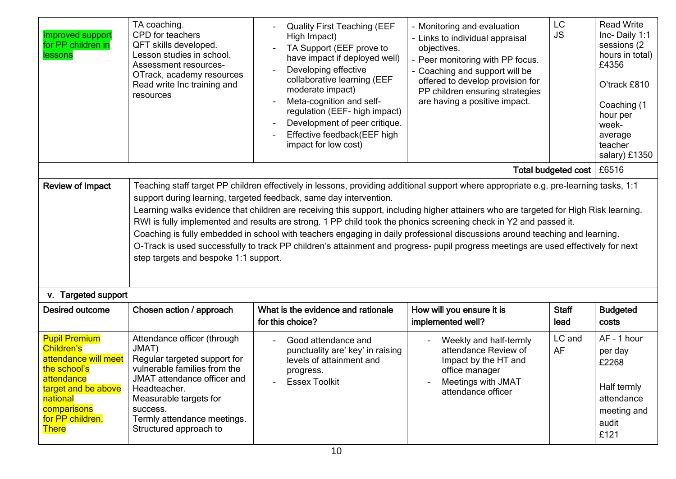| <b>Improved support</b><br>for PP children in<br>lessons                                                                                                                       | TA coaching.<br>CPD for teachers<br>QFT skills developed.<br>Lesson studies in school.<br>Assessment resources-<br>OTrack, academy resources<br>Read write Inc training and<br>resources                                                                                                                                                                                                                                                                                                                                                                                                                                                                                                                                                                                                | <b>Quality First Teaching (EEF</b><br>High Impact)<br>TA Support (EEF prove to<br>have impact if deployed well)<br>Developing effective<br>collaborative learning (EEF<br>moderate impact)<br>Meta-cognition and self-<br>$\overline{\phantom{a}}$<br>regulation (EEF- high impact)<br>Development of peer critique.<br>Effective feedback(EEF high<br>impact for low cost) | - Monitoring and evaluation<br>- Links to individual appraisal<br>objectives.<br>- Peer monitoring with PP focus.<br>- Coaching and support will be<br>offered to develop provision for<br>PP children ensuring strategies<br>are having a positive impact. | LC<br><b>JS</b>      | <b>Read Write</b><br>Inc-Daily 1:1<br>sessions (2)<br>hours in total)<br>£4356<br>O'track £810<br>Coaching (1<br>hour per<br>week-<br>average<br>teacher<br>salary) £1350 |  |
|--------------------------------------------------------------------------------------------------------------------------------------------------------------------------------|-----------------------------------------------------------------------------------------------------------------------------------------------------------------------------------------------------------------------------------------------------------------------------------------------------------------------------------------------------------------------------------------------------------------------------------------------------------------------------------------------------------------------------------------------------------------------------------------------------------------------------------------------------------------------------------------------------------------------------------------------------------------------------------------|-----------------------------------------------------------------------------------------------------------------------------------------------------------------------------------------------------------------------------------------------------------------------------------------------------------------------------------------------------------------------------|-------------------------------------------------------------------------------------------------------------------------------------------------------------------------------------------------------------------------------------------------------------|----------------------|---------------------------------------------------------------------------------------------------------------------------------------------------------------------------|--|
|                                                                                                                                                                                | Total budgeted cost<br>£6516                                                                                                                                                                                                                                                                                                                                                                                                                                                                                                                                                                                                                                                                                                                                                            |                                                                                                                                                                                                                                                                                                                                                                             |                                                                                                                                                                                                                                                             |                      |                                                                                                                                                                           |  |
| <b>Review of Impact</b>                                                                                                                                                        | Teaching staff target PP children effectively in lessons, providing additional support where appropriate e.g. pre-learning tasks, 1:1<br>support during learning, targeted feedback, same day intervention.<br>Learning walks evidence that children are receiving this support, including higher attainers who are targeted for High Risk learning.<br>RWI is fully implemented and results are strong. 1 PP child took the phonics screening check in Y2 and passed it.<br>Coaching is fully embedded in school with teachers engaging in daily professional discussions around teaching and learning.<br>O-Track is used successfully to track PP children's attainment and progress- pupil progress meetings are used effectively for next<br>step targets and bespoke 1:1 support. |                                                                                                                                                                                                                                                                                                                                                                             |                                                                                                                                                                                                                                                             |                      |                                                                                                                                                                           |  |
| v. Targeted support                                                                                                                                                            |                                                                                                                                                                                                                                                                                                                                                                                                                                                                                                                                                                                                                                                                                                                                                                                         |                                                                                                                                                                                                                                                                                                                                                                             |                                                                                                                                                                                                                                                             |                      |                                                                                                                                                                           |  |
| <b>Desired outcome</b>                                                                                                                                                         | Chosen action / approach                                                                                                                                                                                                                                                                                                                                                                                                                                                                                                                                                                                                                                                                                                                                                                | What is the evidence and rationale<br>for this choice?                                                                                                                                                                                                                                                                                                                      | How will you ensure it is<br>implemented well?                                                                                                                                                                                                              | <b>Staff</b><br>lead | <b>Budgeted</b><br>costs                                                                                                                                                  |  |
| <b>Pupil Premium</b><br>Children's<br>attendance will meet<br>the school's<br>attendance<br>target and be above<br>national<br>comparisons<br>for PP children.<br><b>There</b> | Attendance officer (through<br>JMAT)<br>Regular targeted support for<br>vulnerable families from the<br>JMAT attendance officer and<br>Headteacher.<br>Measurable targets for<br>success.<br>Termly attendance meetings.<br>Structured approach to                                                                                                                                                                                                                                                                                                                                                                                                                                                                                                                                      | Good attendance and<br>punctuality are' key' in raising<br>levels of attainment and<br>progress.<br><b>Essex Toolkit</b>                                                                                                                                                                                                                                                    | Weekly and half-termly<br>attendance Review of<br>Impact by the HT and<br>office manager<br>Meetings with JMAT<br>attendance officer                                                                                                                        | LC and<br>AF         | AF - 1 hour<br>per day<br>£2268<br>Half termly<br>attendance<br>meeting and<br>audit<br>£121                                                                              |  |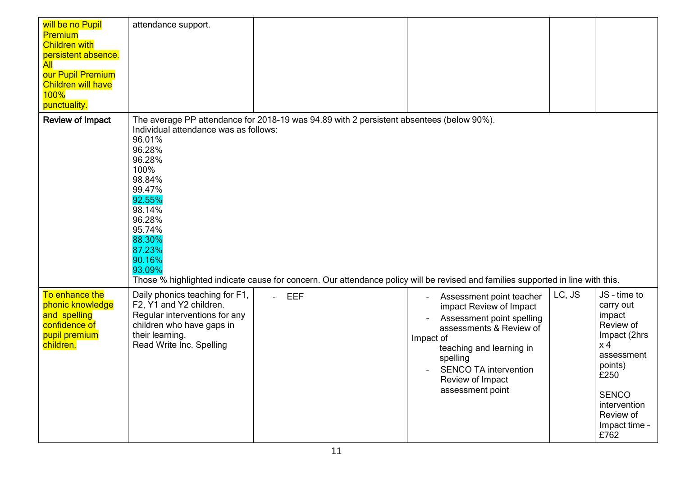| will be no Pupil<br><b>Premium</b><br><b>Children with</b><br>persistent absence.<br>All<br>our Pupil Premium<br><b>Children will have</b><br>$100\%$<br>punctuality. | attendance support.                                                                                                                                                             |                                                                                                                                                                                                                             |                                                                                                                                                                                                                                          |        |                                                                                                                                                                                           |
|-----------------------------------------------------------------------------------------------------------------------------------------------------------------------|---------------------------------------------------------------------------------------------------------------------------------------------------------------------------------|-----------------------------------------------------------------------------------------------------------------------------------------------------------------------------------------------------------------------------|------------------------------------------------------------------------------------------------------------------------------------------------------------------------------------------------------------------------------------------|--------|-------------------------------------------------------------------------------------------------------------------------------------------------------------------------------------------|
| <b>Review of Impact</b>                                                                                                                                               | Individual attendance was as follows:<br>96.01%<br>96.28%<br>96.28%<br>100%<br>98.84%<br>99.47%<br>92.55%<br>98.14%<br>96.28%<br>95.74%<br>88.30%<br>87.23%<br>90.16%<br>93.09% | The average PP attendance for 2018-19 was 94.89 with 2 persistent absentees (below 90%).<br>Those % highlighted indicate cause for concern. Our attendance policy will be revised and families supported in line with this. |                                                                                                                                                                                                                                          |        |                                                                                                                                                                                           |
| To enhance the<br>phonic knowledge<br>and spelling<br>confidence of<br>pupil premium<br>children.                                                                     | Daily phonics teaching for F1,<br>F2, Y1 and Y2 children.<br>Regular interventions for any<br>children who have gaps in<br>their learning.<br>Read Write Inc. Spelling          | - EEF                                                                                                                                                                                                                       | Assessment point teacher<br>impact Review of Impact<br>Assessment point spelling<br>assessments & Review of<br>Impact of<br>teaching and learning in<br>spelling<br><b>SENCO TA intervention</b><br>Review of Impact<br>assessment point | LC, JS | JS - time to<br>carry out<br>impact<br>Review of<br>Impact (2hrs<br>x <sub>4</sub><br>assessment<br>points)<br>£250<br><b>SENCO</b><br>intervention<br>Review of<br>Impact time -<br>£762 |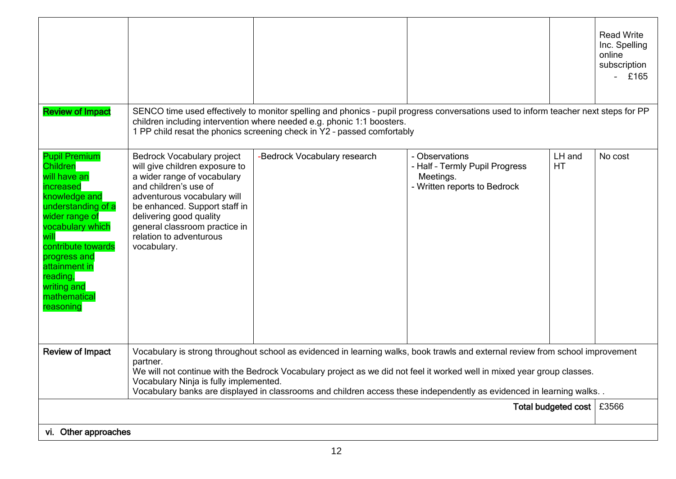| <b>Review of Impact</b>                                                                                                                                                                                                                                   |                                                                                                                                                                                                                                                                                                                                                                                                                                        | SENCO time used effectively to monitor spelling and phonics - pupil progress conversations used to inform teacher next steps for PP |                                                                                               |              | <b>Read Write</b><br>Inc. Spelling<br>online<br>subscription<br>£165 |
|-----------------------------------------------------------------------------------------------------------------------------------------------------------------------------------------------------------------------------------------------------------|----------------------------------------------------------------------------------------------------------------------------------------------------------------------------------------------------------------------------------------------------------------------------------------------------------------------------------------------------------------------------------------------------------------------------------------|-------------------------------------------------------------------------------------------------------------------------------------|-----------------------------------------------------------------------------------------------|--------------|----------------------------------------------------------------------|
|                                                                                                                                                                                                                                                           | children including intervention where needed e.g. phonic 1:1 boosters.<br>1 PP child resat the phonics screening check in Y2 - passed comfortably                                                                                                                                                                                                                                                                                      |                                                                                                                                     |                                                                                               |              |                                                                      |
| <b>Pupil Premium</b><br>Children<br>will have an<br>increased<br>knowledge and<br>understanding of a<br>wider range of<br>vocabulary which<br>contribute towards<br>progress and<br>attainment in<br>reading,<br>writing and<br>mathematical<br>reasoning | Bedrock Vocabulary project<br>will give children exposure to<br>a wider range of vocabulary<br>and children's use of<br>adventurous vocabulary will<br>be enhanced. Support staff in<br>delivering good quality<br>general classroom practice in<br>relation to adventurous<br>vocabulary.                                                                                                                                             | -Bedrock Vocabulary research                                                                                                        | - Observations<br>- Half - Termly Pupil Progress<br>Meetings.<br>- Written reports to Bedrock | LH and<br>HT | No cost                                                              |
| <b>Review of Impact</b>                                                                                                                                                                                                                                   | Vocabulary is strong throughout school as evidenced in learning walks, book trawls and external review from school improvement<br>partner.<br>We will not continue with the Bedrock Vocabulary project as we did not feel it worked well in mixed year group classes.<br>Vocabulary Ninja is fully implemented.<br>Vocabulary banks are displayed in classrooms and children access these independently as evidenced in learning walks |                                                                                                                                     |                                                                                               |              |                                                                      |
| Total budgeted cost   £3566                                                                                                                                                                                                                               |                                                                                                                                                                                                                                                                                                                                                                                                                                        |                                                                                                                                     |                                                                                               |              |                                                                      |
| vi. Other approaches                                                                                                                                                                                                                                      |                                                                                                                                                                                                                                                                                                                                                                                                                                        |                                                                                                                                     |                                                                                               |              |                                                                      |